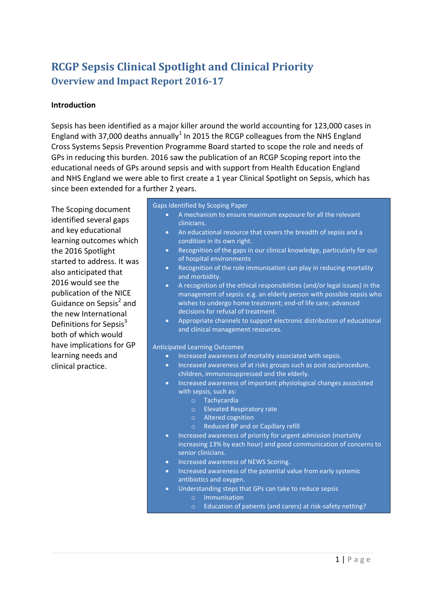# **RCGP Sepsis Clinical Spotlight and Clinical Priority Overview and Impact Report 2016-17**

## **Introduction**

Sepsis has been identified as a major killer around the world accounting for 123,000 cases in England with 37,000 deaths annually<sup>1</sup> In 2015 the RCGP colleagues from the NHS England Cross Systems Sepsis Prevention Programme Board started to scope the role and needs of GPs in reducing this burden. 2016 saw the publication of an RCGP Scoping report into the educational needs of GPs around sepsis and with support from Health Education England and NHS England we were able to first create a 1 year Clinical Spotlight on Sepsis, which has since been extended for a further 2 years.

The Scoping document identified several gaps and key educational learning outcomes which the 2016 Spotlight started to address. It was also anticipated that 2016 would see the publication of the NICE Guidance on Sepsis<sup>2</sup> and the new International Definitions for Sepsis $3$ both of which would have implications for GP learning needs and clinical practice.

Gaps Identified by Scoping Paper

- A mechanism to ensure maximum exposure for all the relevant clinicians.
- An educational resource that covers the breadth of sepsis and a condition in its own right.
- Recognition of the gaps in our clinical knowledge, particularly for out of hospital environments
- Recognition of the role immunisation can play in reducing mortality and morbidity.
- A recognition of the ethical responsibilities (and/or legal issues) in the management of sepsis: e.g. an elderly person with possible sepsis who wishes to undergo home treatment; end-of life care; advanced decisions for refusal of treatment.
- $\bullet$  Appropriate channels to support electronic distribution of educational and clinical management resources.

Anticipated Learning Outcomes

- Increased awareness of mortality associated with sepsis.
- Increased awareness of at risks groups such as post op/procedure, children, immunosuppressed and the elderly.
- Increased awareness of important physiological changes associated with sepsis, such as:
	- o Tachycardia
	- o Elevated Respiratory rate
	- o Altered cognition
	- o Reduced BP and or Capillary refill
- Increased awareness of priority for urgent admission (mortality increasing 13% by each hour) and good communication of concerns to senior clinicians.
- Increased awareness of NEWS Scoring.
- Increased awareness of the potential value from early systemic antibiotics and oxygen.
- Understanding steps that GPs can take to reduce sepsis o Immunisation
	- o Education of patients (and carers) at risk-safety netting?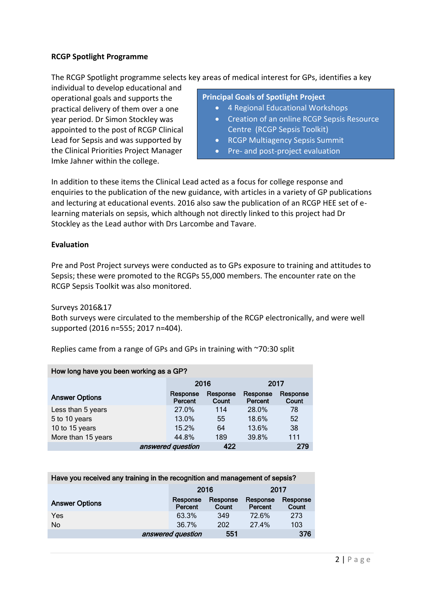## **RCGP Spotlight Programme**

The RCGP Spotlight programme selects key areas of medical interest for GPs, identifies a key

individual to develop educational and operational goals and supports the practical delivery of them over a one year period. Dr Simon Stockley was appointed to the post of RCGP Clinical Lead for Sepsis and was supported by the Clinical Priorities Project Manager Imke Jahner within the college.

## **Principal Goals of Spotlight Project**

- 4 Regional Educational Workshops
- Creation of an online RCGP Sepsis Resource Centre (RCGP Sepsis Toolkit)
- RCGP Multiagency Sepsis Summit
- Pre- and post-project evaluation

In addition to these items the Clinical Lead acted as a focus for college response and enquiries to the publication of the new guidance, with articles in a variety of GP publications and lecturing at educational events. 2016 also saw the publication of an RCGP HEE set of elearning materials on sepsis, which although not directly linked to this project had Dr Stockley as the Lead author with Drs Larcombe and Tavare.

## **Evaluation**

Pre and Post Project surveys were conducted as to GPs exposure to training and attitudes to Sepsis; these were promoted to the RCGPs 55,000 members. The encounter rate on the RCGP Sepsis Toolkit was also monitored.

Surveys 2016&17

Both surveys were circulated to the membership of the RCGP electronically, and were well supported (2016 n=555; 2017 n=404).

Replies came from a range of GPs and GPs in training with ~70:30 split

| How long have you been working as a GP? |                     |                   |                     |                   |  |  |
|-----------------------------------------|---------------------|-------------------|---------------------|-------------------|--|--|
|                                         | 2016                |                   |                     | 2017              |  |  |
| <b>Answer Options</b>                   | Response<br>Percent | Response<br>Count | Response<br>Percent | Response<br>Count |  |  |
| Less than 5 years                       | 27.0%               | 114               | 28.0%               | 78                |  |  |
| 5 to 10 years                           | 13.0%               | 55                | 18.6%               | 52                |  |  |
| 10 to 15 years                          | 15.2%               | 64                | 13.6%               | 38                |  |  |
| More than 15 years                      | 44.8%               | 189               | 39.8%               | 111               |  |  |
|                                         | answered question   | 422               |                     | 279               |  |  |

| Have you received any training in the recognition and management of sepsis? |  |                     |                   |                     |                   |  |
|-----------------------------------------------------------------------------|--|---------------------|-------------------|---------------------|-------------------|--|
|                                                                             |  | 2016                | 2017              |                     |                   |  |
| <b>Answer Options</b>                                                       |  | Response<br>Percent | Response<br>Count | Response<br>Percent | Response<br>Count |  |
| Yes                                                                         |  | 63.3%               | 349               | 72.6%               | 273               |  |
| No                                                                          |  | 36.7%               | 202               | 27.4%               | 103               |  |
|                                                                             |  | answered question   | 551               |                     | 376               |  |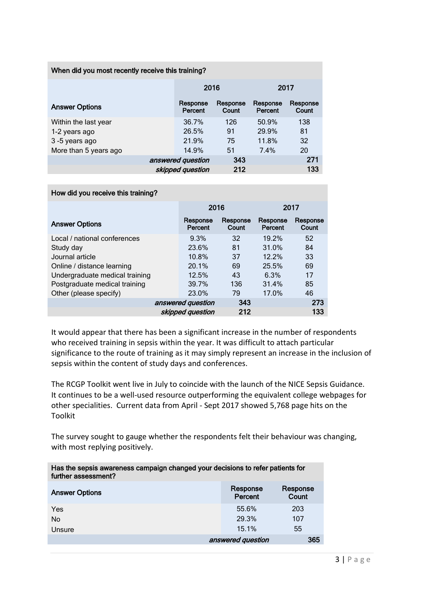## When did you most recently receive this training?

|                       |                     | 2016              |                     | 2017              |  |  |
|-----------------------|---------------------|-------------------|---------------------|-------------------|--|--|
| <b>Answer Options</b> | Response<br>Percent | Response<br>Count | Response<br>Percent | Response<br>Count |  |  |
| Within the last year  | 36.7%               | 126               | 50.9%               | 138               |  |  |
| 1-2 years ago         | 26.5%               | 91                | 29.9%               | 81                |  |  |
| 3-5 years ago         | 21.9%               | 75                | 11.8%               | 32                |  |  |
| More than 5 years ago | 14.9%               | 51                | 7.4%                | 20                |  |  |
|                       | answered question   | 343               |                     | 271               |  |  |
|                       | skipped question    | 212               |                     | 133               |  |  |

#### How did you receive this training?

|                                | 2016                |                   | 2017                |                   |  |
|--------------------------------|---------------------|-------------------|---------------------|-------------------|--|
| <b>Answer Options</b>          | Response<br>Percent | Response<br>Count | Response<br>Percent | Response<br>Count |  |
| Local / national conferences   | 9.3%                | 32                | 19.2%               | 52                |  |
| Study day                      | 23.6%               | 81                | 31.0%               | 84                |  |
| Journal article                | 10.8%               | 37                | $12.2\%$            | 33                |  |
| Online / distance learning     | 20.1%               | 69                | 25.5%               | 69                |  |
| Undergraduate medical training | 12.5%               | 43                | 6.3%                | 17                |  |
| Postgraduate medical training  | 39.7%               | 136               | 31.4%               | 85                |  |
| Other (please specify)         | 23.0%               | 79                | 17.0%               | 46                |  |
|                                | answered question   | 343               |                     | 273               |  |
|                                | skipped question    | 212               |                     | 133               |  |

It would appear that there has been a significant increase in the number of respondents who received training in sepsis within the year. It was difficult to attach particular significance to the route of training as it may simply represent an increase in the inclusion of sepsis within the content of study days and conferences.

The RCGP Toolkit went live in July to coincide with the launch of the NICE Sepsis Guidance. It continues to be a well-used resource outperforming the equivalent college webpages for other specialities. Current data from April - Sept 2017 showed 5,768 page hits on the Toolkit

The survey sought to gauge whether the respondents felt their behaviour was changing, with most replying positively.

| Has the sepsis awareness campaign changed your decisions to refer patients for<br>further assessment? |                     |                   |
|-------------------------------------------------------------------------------------------------------|---------------------|-------------------|
| <b>Answer Options</b>                                                                                 | Response<br>Percent | Response<br>Count |
| Yes                                                                                                   | 55.6%               | 203               |
| No                                                                                                    | 29.3%               | 107               |
| Unsure                                                                                                | 15.1%               | 55                |
|                                                                                                       | answered question   | 365               |
|                                                                                                       |                     |                   |

Has the sepsis awareness campaign changed your decisions to refer patients for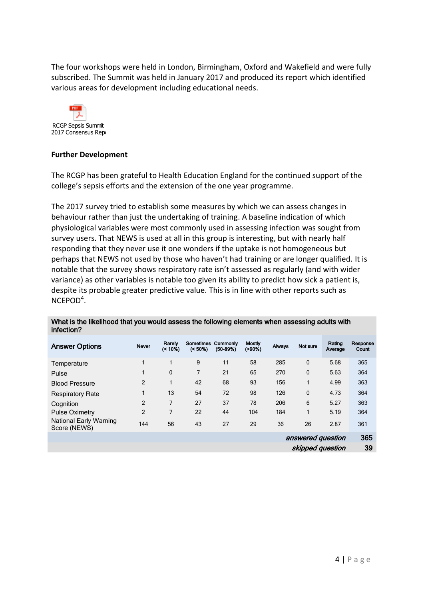The four workshops were held in London, Birmingham, Oxford and Wakefield and were fully subscribed. The Summit was held in January 2017 and produced its report which identified various areas for development including educational needs.



## **Further Development**

The RCGP has been grateful to Health Education England for the continued support of the college's sepsis efforts and the extension of the one year programme.

The 2017 survey tried to establish some measures by which we can assess changes in behaviour rather than just the undertaking of training. A baseline indication of which physiological variables were most commonly used in assessing infection was sought from survey users. That NEWS is used at all in this group is interesting, but with nearly half responding that they never use it one wonders if the uptake is not homogeneous but perhaps that NEWS not used by those who haven't had training or are longer qualified. It is notable that the survey shows respiratory rate isn't assessed as regularly (and with wider variance) as other variables is notable too given its ability to predict how sick a patient is, despite its probable greater predictive value. This is in line with other reports such as NCEPOD<sup>4</sup>.

| <b>Answer Options</b>                         | <b>Never</b>   | Rarely<br>$( < 10\%)$ | Sometimes<br>$(< 50\%)$ | Commonly<br>$(50-89%)$ | <b>Mostly</b><br>$( > 90\%)$ | Always | Not sure          | Rating<br>Average | Response<br>Count |
|-----------------------------------------------|----------------|-----------------------|-------------------------|------------------------|------------------------------|--------|-------------------|-------------------|-------------------|
| Temperature                                   | 1              | 1                     | 9                       | 11                     | 58                           | 285    | 0                 | 5.68              | 365               |
| Pulse                                         |                | $\mathbf 0$           | 7                       | 21                     | 65                           | 270    | 0                 | 5.63              | 364               |
| <b>Blood Pressure</b>                         | 2              | 1                     | 42                      | 68                     | 93                           | 156    |                   | 4.99              | 363               |
| <b>Respiratory Rate</b>                       | 1              | 13                    | 54                      | 72                     | 98                           | 126    | $\mathbf 0$       | 4.73              | 364               |
| Cognition                                     | $\overline{2}$ | 7                     | 27                      | 37                     | 78                           | 206    | 6                 | 5.27              | 363               |
| <b>Pulse Oximetry</b>                         | $\overline{2}$ | 7                     | 22                      | 44                     | 104                          | 184    | 1                 | 5.19              | 364               |
| <b>National Early Warning</b><br>Score (NEWS) | 144            | 56                    | 43                      | 27                     | 29                           | 36     | 26                | 2.87              | 361               |
|                                               |                |                       |                         |                        |                              |        | answered question |                   | 365               |
|                                               |                |                       |                         |                        |                              |        | skipped question  |                   | 39                |

#### What is the likelihood that you would assess the following elements when assessing adults with infection?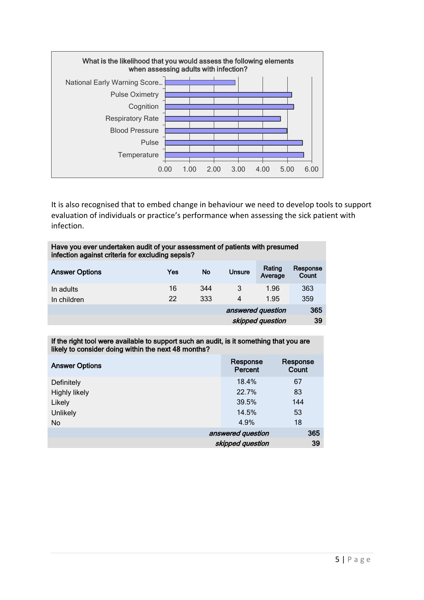

It is also recognised that to embed change in behaviour we need to develop tools to support evaluation of individuals or practice's performance when assessing the sick patient with infection.

| Have you ever undertaken audit of your assessment of patients with presumed |  |
|-----------------------------------------------------------------------------|--|
| infection against criteria for excluding sepsis?                            |  |

| <b>Answer Options</b> | Yes | No  | <b>Unsure</b>     | Rating<br>Average | Response<br>Count |
|-----------------------|-----|-----|-------------------|-------------------|-------------------|
| In adults             | 16  | 344 |                   | 1.96              | 363               |
| In children           | 22  | 333 | 4                 | 1.95              | 359               |
|                       |     |     | answered question |                   | 365               |
|                       |     |     |                   | skipped question  | 39                |

#### If the right tool were available to support such an audit, is it something that you are likely to consider doing within the next 48 months?

| <b>Answer Options</b> | Response<br>Percent | Response<br>Count |
|-----------------------|---------------------|-------------------|
| Definitely            | 18.4%               | 67                |
| <b>Highly likely</b>  | 22.7%               | 83                |
| Likely                | 39.5%               | 144               |
| <b>Unlikely</b>       | 14.5%               | 53                |
| No                    | 4.9%                | 18                |
|                       | answered question   | 365               |
|                       | skipped question    | 39                |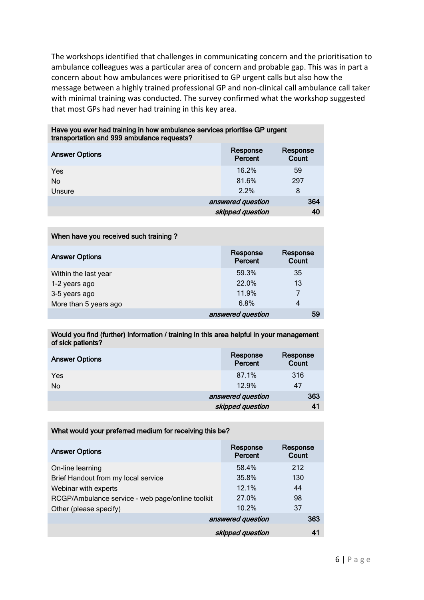The workshops identified that challenges in communicating concern and the prioritisation to ambulance colleagues was a particular area of concern and probable gap. This was in part a concern about how ambulances were prioritised to GP urgent calls but also how the message between a highly trained professional GP and non-clinical call ambulance call taker with minimal training was conducted. The survey confirmed what the workshop suggested that most GPs had never had training in this key area.

| Have you ever had training in how ambulance services prioritise GP urgent<br>transportation and 999 ambulance requests? |                     |                   |
|-------------------------------------------------------------------------------------------------------------------------|---------------------|-------------------|
| <b>Answer Options</b>                                                                                                   | Response<br>Percent | Response<br>Count |
| Yes                                                                                                                     | 16.2%               | 59                |
| N <sub>o</sub>                                                                                                          | 81.6%               | 297               |
| Unsure                                                                                                                  | $2.2\%$             | 8                 |
|                                                                                                                         | answered question   | 364               |
|                                                                                                                         | skipped question    | 40                |

| When have you received such training? |                     |                   |
|---------------------------------------|---------------------|-------------------|
| <b>Answer Options</b>                 | Response<br>Percent | Response<br>Count |
| Within the last year                  | 59.3%               | 35                |
| 1-2 years ago                         | 22.0%               | 13                |
| 3-5 years ago                         | 11.9%               |                   |
| More than 5 years ago                 | 6.8%                | 4                 |
|                                       | answered question   | 59                |

#### Would you find (further) information / training in this area helpful in your management of sick patients?

| <b>Answer Options</b> | Response<br>Percent | Response<br>Count |
|-----------------------|---------------------|-------------------|
| Yes                   | 87.1%               | 316               |
| No                    | 12.9%               | 47                |
|                       | answered question   | 363               |
|                       | skipped question    | 41                |

| What would your preferred medium for receiving this be? |                     |                   |
|---------------------------------------------------------|---------------------|-------------------|
| <b>Answer Options</b>                                   | Response<br>Percent | Response<br>Count |
| On-line learning                                        | 58.4%               | 212               |
| Brief Handout from my local service                     | 35.8%               | 130               |
| Webinar with experts                                    | $121\%$             | 44                |
| RCGP/Ambulance service - web page/online toolkit        | 27.0%               | 98                |
| Other (please specify)                                  | 10.2%               | 37                |
|                                                         | answered question   | 363               |
|                                                         | skipped question    | 41                |